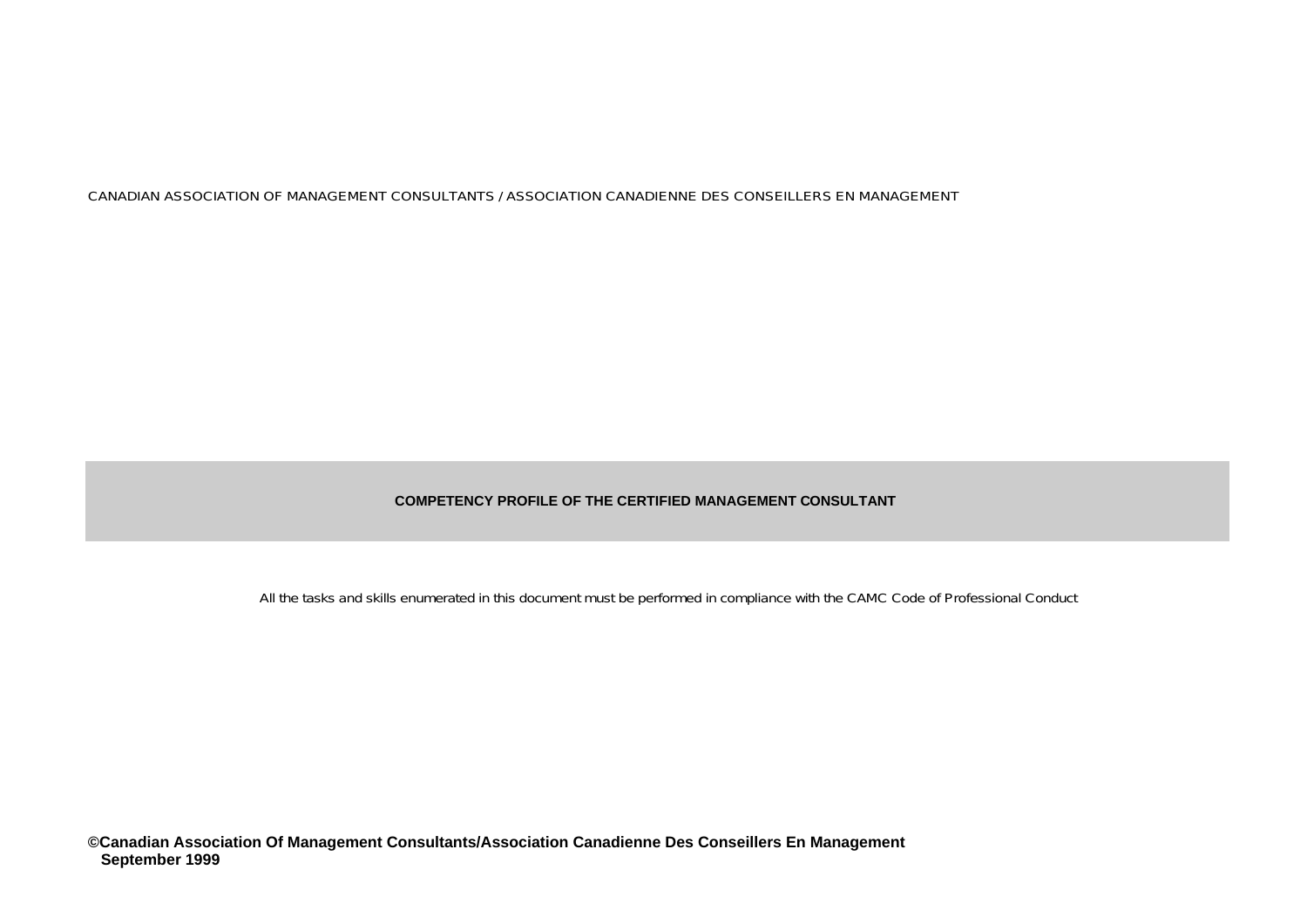#### **COMPETENCY PROFILE OF THE CERTIFIED MANAGEMENT CONSULTANT**

All the tasks and skills enumerated in this document must be performed in compliance with the CAMC Code of Professional Conduct

**©Canadian Association Of Management Consultants/Association Canadienne Des Conseillers En Management September 1999**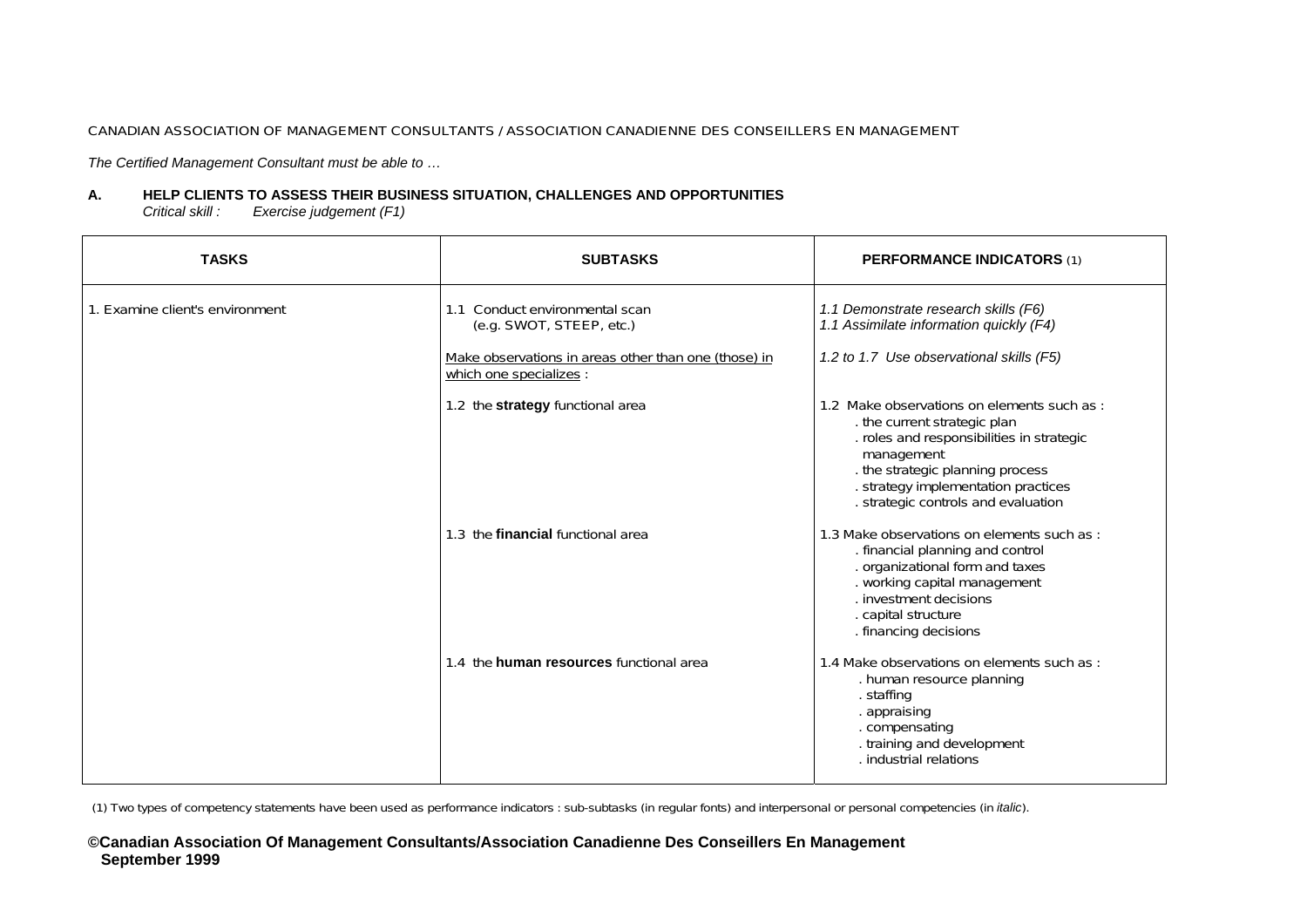*The Certified Management Consultant must be able to …*

#### **A.HELP CLIENTS TO ASSESS THEIR BUSINESS SITUATION, CHALLENGES AND OPPORTUNITIES**

*Critical skill : Exercise judgement (F1)* 

| <b>TASKS</b>                    | <b>SUBTASKS</b>                                                                 | <b>PERFORMANCE INDICATORS (1)</b>                                                                                                                                                                                                                     |
|---------------------------------|---------------------------------------------------------------------------------|-------------------------------------------------------------------------------------------------------------------------------------------------------------------------------------------------------------------------------------------------------|
| 1. Examine client's environment | 1.1 Conduct environmental scan<br>(e.g. SWOT, STEEP, etc.)                      | 1.1 Demonstrate research skills (F6)<br>1.1 Assimilate information quickly (F4)                                                                                                                                                                       |
|                                 | Make observations in areas other than one (those) in<br>which one specializes : | 1.2 to 1.7 Use observational skills (F5)                                                                                                                                                                                                              |
|                                 | 1.2 the strategy functional area                                                | 1.2 Make observations on elements such as:<br>the current strategic plan<br>. roles and responsibilities in strategic<br>management<br>. the strategic planning process<br>. strategy implementation practices<br>. strategic controls and evaluation |
|                                 | 1.3 the financial functional area                                               | 1.3 Make observations on elements such as :<br>. financial planning and control<br>. organizational form and taxes<br>. working capital management<br>. investment decisions<br>. capital structure<br>. financing decisions                          |
|                                 | 1.4 the human resources functional area                                         | 1.4 Make observations on elements such as :<br>. human resource planning<br>. staffing<br>. appraising<br>. compensating<br>. training and development<br>. industrial relations                                                                      |

(1) Two types of competency statements have been used as performance indicators : sub-subtasks (in regular fonts) and interpersonal or personal competencies (in *italic*).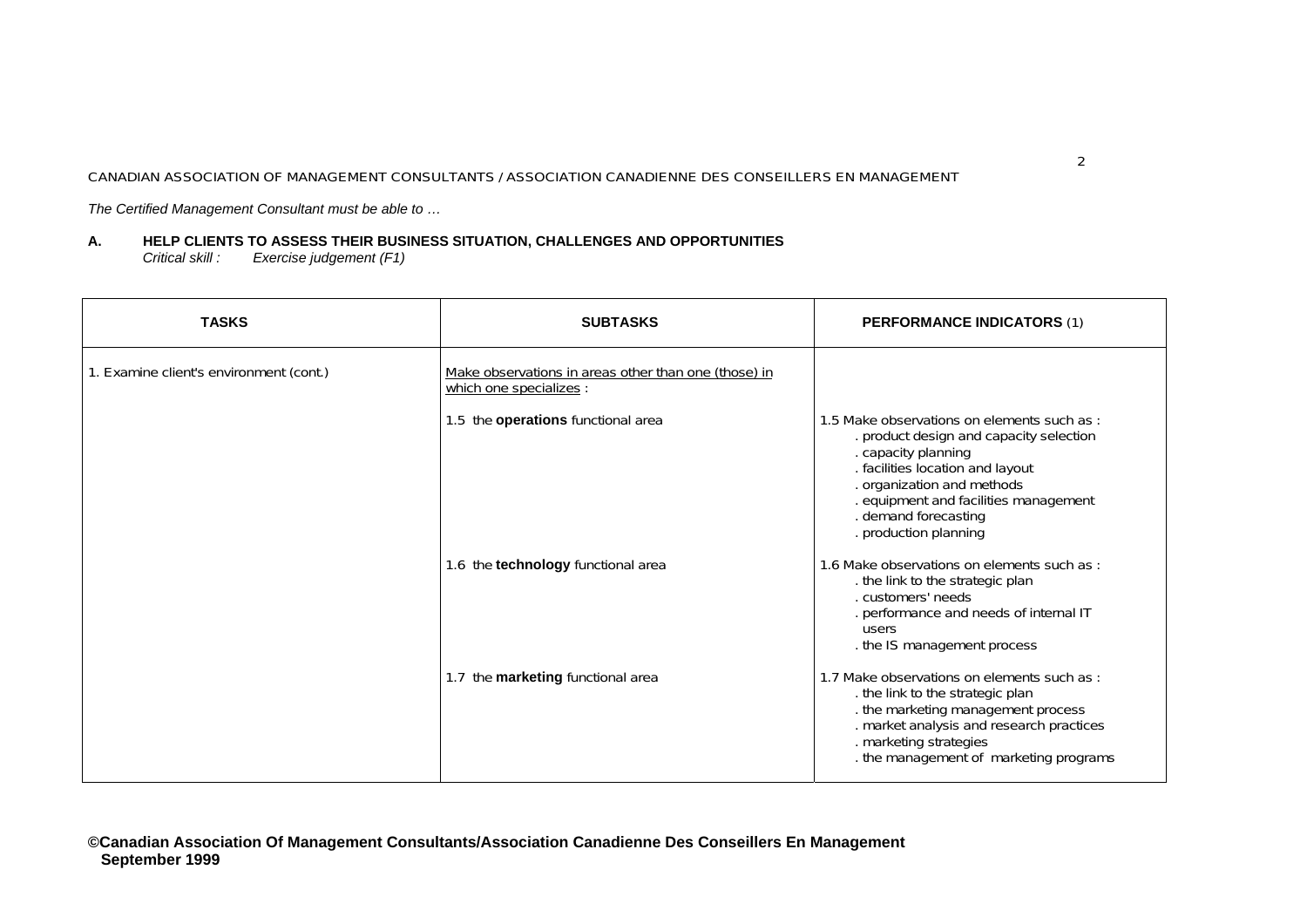*The Certified Management Consultant must be able to …*

#### **A. HELP CLIENTS TO ASSESS THEIR BUSINESS SITU A TION, CH ALLENGES A ND OPPORTUNITIE S** *Critical skill : Exercise judgement (F1)*

| <b>TASKS</b>                            | <b>SUBTASKS</b>                                                                 | <b>PERFORMANCE INDICATORS (1)</b>                                                                                                                                                                                                                                        |
|-----------------------------------------|---------------------------------------------------------------------------------|--------------------------------------------------------------------------------------------------------------------------------------------------------------------------------------------------------------------------------------------------------------------------|
| 1. Examine client's environment (cont.) | Make observations in areas other than one (those) in<br>which one specializes : |                                                                                                                                                                                                                                                                          |
|                                         | 1.5 the operations functional area                                              | 1.5 Make observations on elements such as:<br>. product design and capacity selection<br>. capacity planning<br>. facilities location and layout<br>. organization and methods<br>. equipment and facilities management<br>. demand forecasting<br>. production planning |
|                                         | 1.6 the technology functional area                                              | 1.6 Make observations on elements such as:<br>. the link to the strategic plan<br>. customers' needs<br>. performance and needs of internal IT<br>users<br>. the IS management process                                                                                   |
|                                         | 1.7 the marketing functional area                                               | 1.7 Make observations on elements such as:<br>. the link to the strategic plan<br>. the marketing management process<br>. market analysis and research practices<br>. marketing strategies<br>. the management of marketing programs                                     |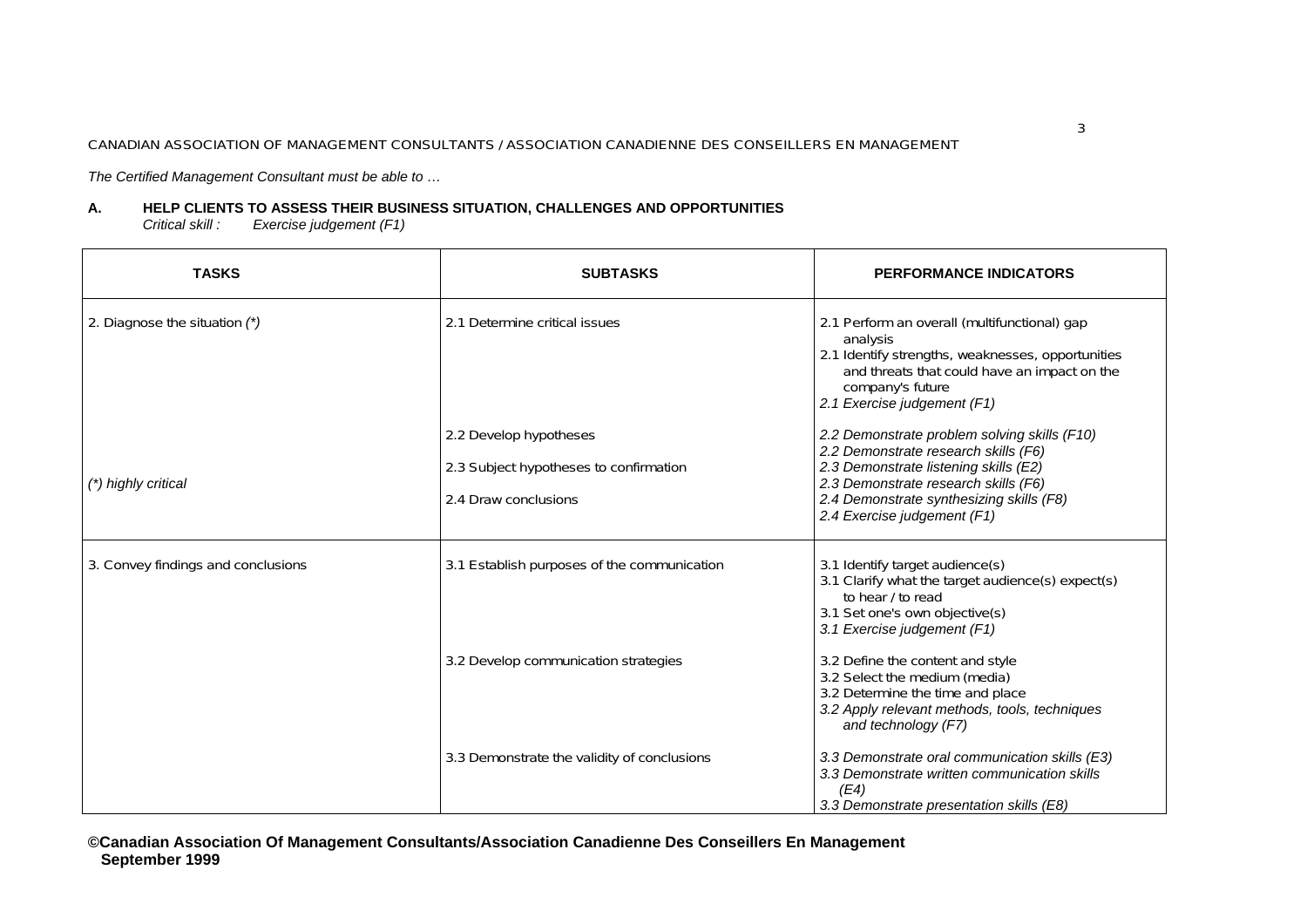*The Certified Management Consultant must be able to …*

#### **A. HELP CLIENTS TO ASSESS THEIR BUSINESS SITU A TION, CH ALLENGES A ND OPPORTUNITIE S** *Critical skill : Exercise judgement (F1)*

| <b>TASKS</b>                       | <b>SUBTASKS</b>                                                                          | <b>PERFORMANCE INDICATORS</b>                                                                                                                                                                                                                    |
|------------------------------------|------------------------------------------------------------------------------------------|--------------------------------------------------------------------------------------------------------------------------------------------------------------------------------------------------------------------------------------------------|
| 2. Diagnose the situation (*)      | 2.1 Determine critical issues                                                            | 2.1 Perform an overall (multifunctional) gap<br>analysis<br>2.1 Identify strengths, weaknesses, opportunities<br>and threats that could have an impact on the<br>company's future<br>2.1 Exercise judgement (F1)                                 |
| (*) highly critical                | 2.2 Develop hypotheses<br>2.3 Subject hypotheses to confirmation<br>2.4 Draw conclusions | 2.2 Demonstrate problem solving skills (F10)<br>2.2 Demonstrate research skills (F6)<br>2.3 Demonstrate listening skills (E2)<br>2.3 Demonstrate research skills (F6)<br>2.4 Demonstrate synthesizing skills (F8)<br>2.4 Exercise judgement (F1) |
| 3. Convey findings and conclusions | 3.1 Establish purposes of the communication                                              | 3.1 Identify target audience(s)<br>3.1 Clarify what the target audience(s) expect(s)<br>to hear / to read<br>3.1 Set one's own objective(s)<br>3.1 Exercise judgement (F1)                                                                       |
|                                    | 3.2 Develop communication strategies                                                     | 3.2 Define the content and style<br>3.2 Select the medium (media)<br>3.2 Determine the time and place<br>3.2 Apply relevant methods, tools, techniques<br>and technology (F7)                                                                    |
|                                    | 3.3 Demonstrate the validity of conclusions                                              | 3.3 Demonstrate oral communication skills (E3)<br>3.3 Demonstrate written communication skills<br>(E4)<br>3.3 Demonstrate presentation skills (E8)                                                                                               |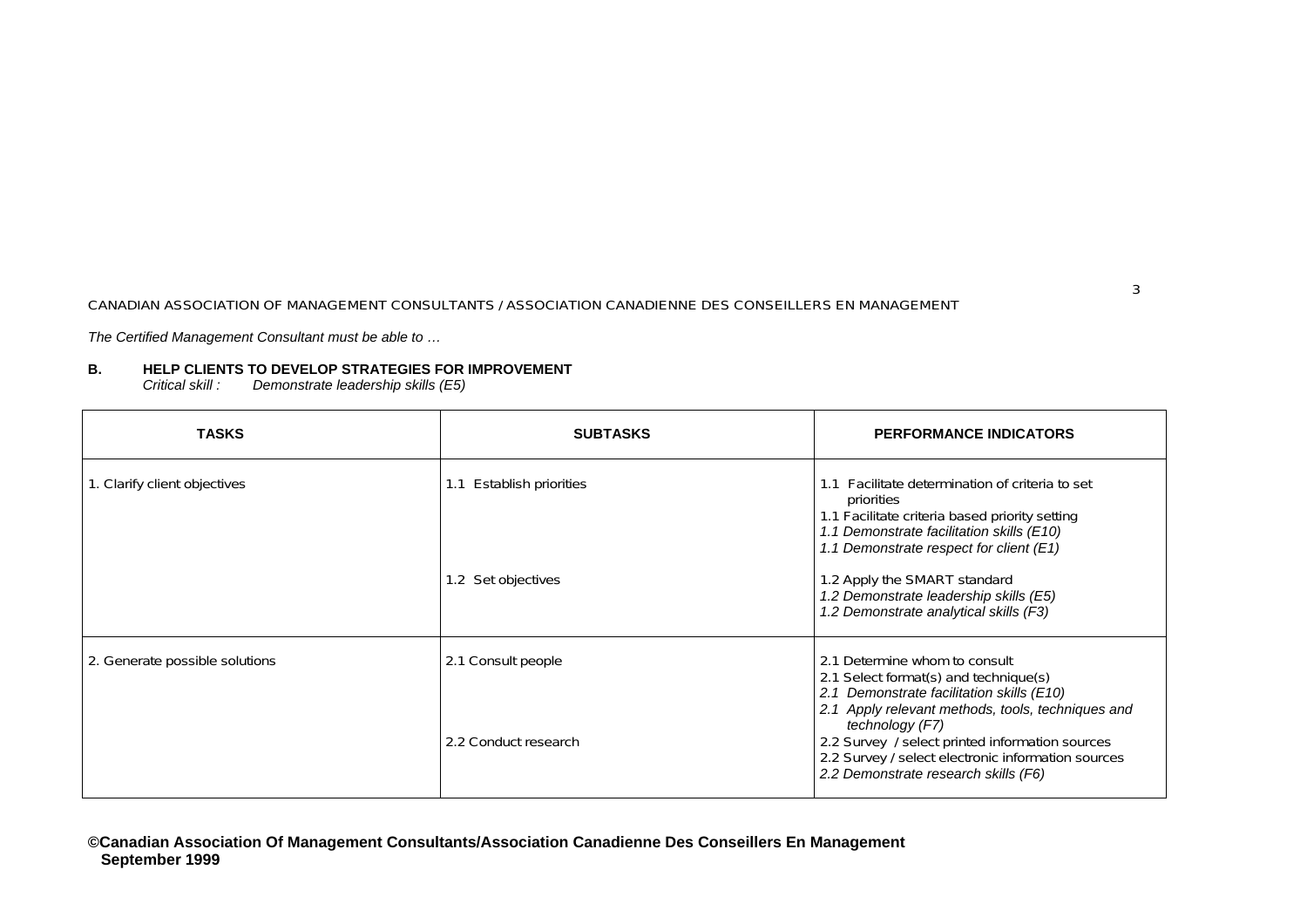*The Certified Management Consultant must be able to …*

### **B. HELP CLIENTS TO DEVELOP STRATEGIES FOR IMPROVEMENT**

*Critical skill : Demonstrate leadership skills (E5)* 

| <b>TASKS</b>                                                                             | <b>SUBTASKS</b>                                                                                                                                                                                     | <b>PERFORMANCE INDICATORS</b>                                                                                                                                            |
|------------------------------------------------------------------------------------------|-----------------------------------------------------------------------------------------------------------------------------------------------------------------------------------------------------|--------------------------------------------------------------------------------------------------------------------------------------------------------------------------|
| 1. Clarify client objectives<br><b>Establish priorities</b><br>1.1<br>1.2 Set objectives | Facilitate determination of criteria to set<br>priorities<br>1.1 Facilitate criteria based priority setting<br>1.1 Demonstrate facilitation skills (E10)<br>1.1 Demonstrate respect for client (E1) |                                                                                                                                                                          |
|                                                                                          |                                                                                                                                                                                                     | 1.2 Apply the SMART standard<br>1.2 Demonstrate leadership skills (E5)<br>1.2 Demonstrate analytical skills (F3)                                                         |
| 2. Generate possible solutions                                                           | 2.1 Consult people                                                                                                                                                                                  | 2.1 Determine whom to consult<br>2.1 Select format(s) and technique(s)<br>2.1 Demonstrate facilitation skills (E10)<br>2.1 Apply relevant methods, tools, techniques and |
|                                                                                          | 2.2 Conduct research                                                                                                                                                                                | technology (F7)<br>2.2 Survey / select printed information sources<br>2.2 Survey / select electronic information sources<br>2.2 Demonstrate research skills (F6)         |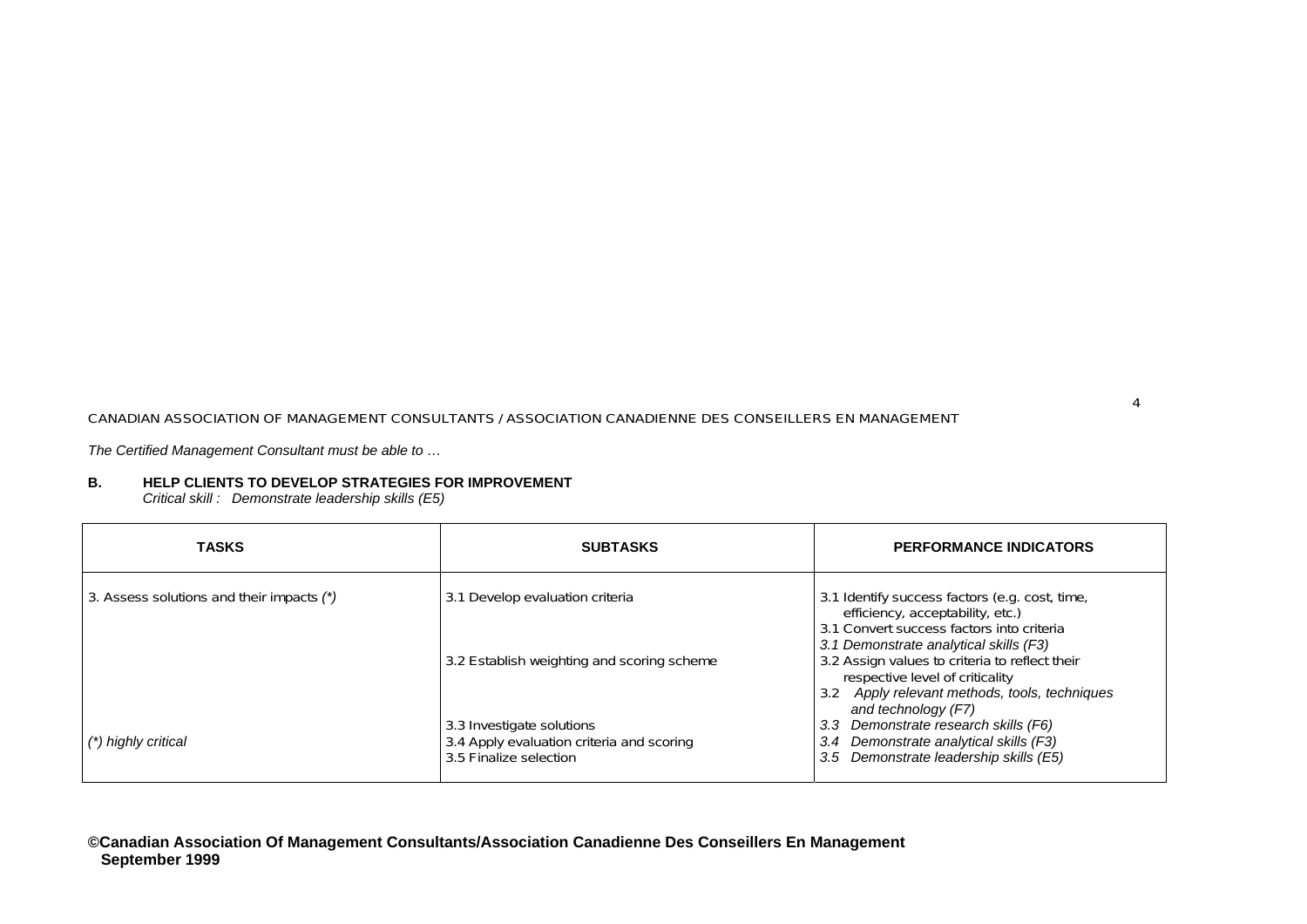*The Certified Management Consultant must be able to …*

#### **B. HELP CLIENTS TO DEVELOP STRATEGIES FOR IMPROVEMENT**

*Critical skill : Demonstrate leaders hip skills (E5)*

| <b>TASKS</b>                              | <b>SUBTASKS</b>                                                                                  | <b>PERFORMANCE INDICATORS</b>                                                                                                                                             |
|-------------------------------------------|--------------------------------------------------------------------------------------------------|---------------------------------------------------------------------------------------------------------------------------------------------------------------------------|
| 3. Assess solutions and their impacts (*) | 3.1 Develop evaluation criteria                                                                  | 3.1 Identify success factors (e.g. cost, time,<br>efficiency, acceptability, etc.)<br>3.1 Convert success factors into criteria<br>3.1 Demonstrate analytical skills (F3) |
|                                           | 3.2 Establish weighting and scoring scheme                                                       | 3.2 Assign values to criteria to reflect their<br>respective level of criticality<br>3.2 Apply relevant methods, tools, techniques<br>and technology (F7)                 |
| (*) highly critical                       | 3.3 Investigate solutions<br>3.4 Apply evaluation criteria and scoring<br>3.5 Finalize selection | Demonstrate research skills (F6)<br>3.3<br>Demonstrate analytical skills (F3)<br>3.4<br>3.5 Demonstrate leadership skills (E5)                                            |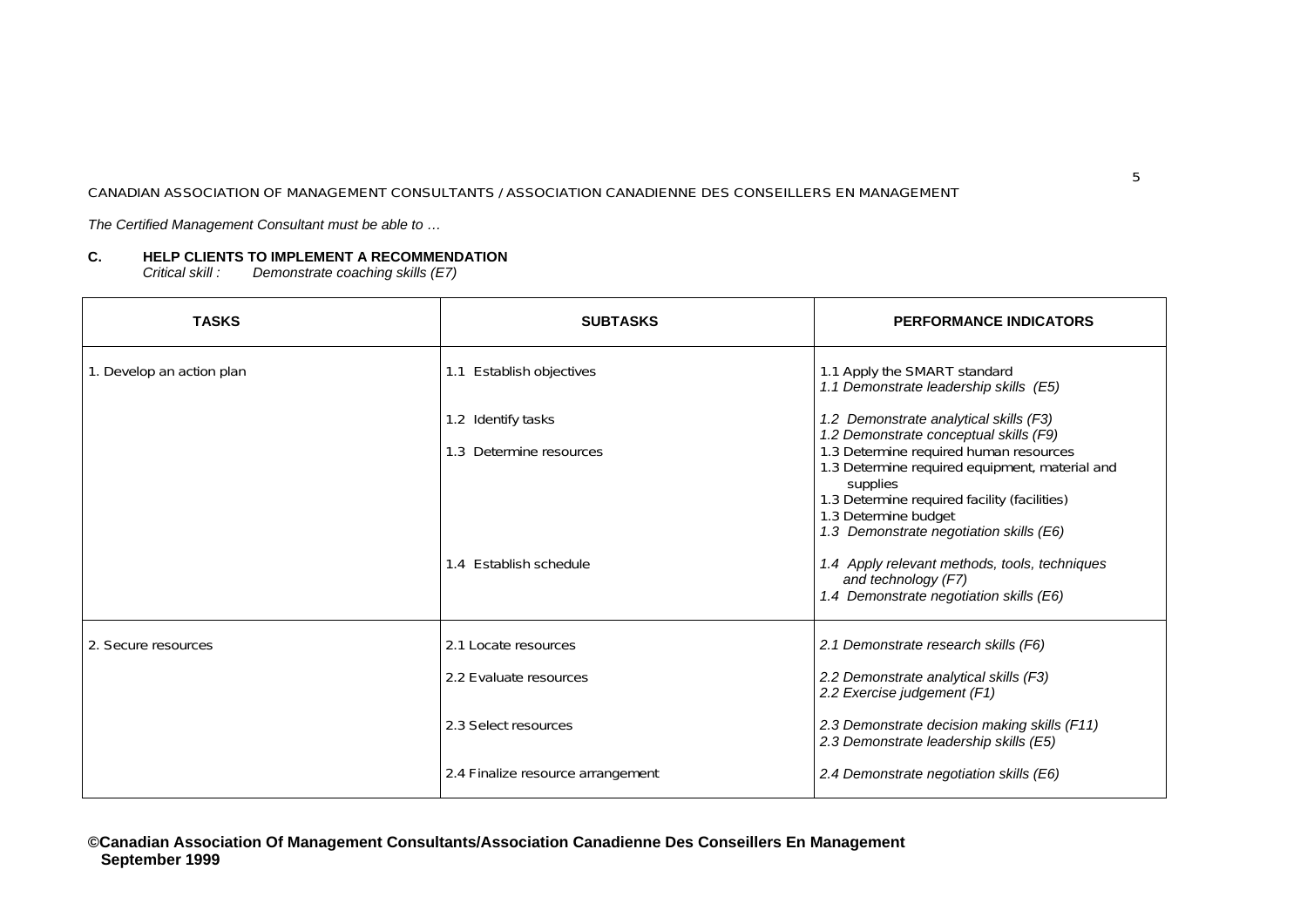*The Certified Management Consultant must be able to …*

### **C. HELP CLIENTS TO IMPLEMENT A RECOMMENDATION**

*Critical skill : Demonstrate coaching skills (E7)* 

| <b>TASKS</b>              | <b>SUBTASKS</b>                               | <b>PERFORMANCE INDICATORS</b>                                                                                                                                                 |
|---------------------------|-----------------------------------------------|-------------------------------------------------------------------------------------------------------------------------------------------------------------------------------|
| 1. Develop an action plan | 1.1 Establish objectives                      | 1.1 Apply the SMART standard<br>1.1 Demonstrate leadership skills (E5)                                                                                                        |
|                           | 1.2 Identify tasks<br>1.3 Determine resources | 1.2 Demonstrate analytical skills (F3)<br>1.2 Demonstrate conceptual skills (F9)<br>1.3 Determine required human resources                                                    |
|                           |                                               | 1.3 Determine required equipment, material and<br>supplies<br>1.3 Determine required facility (facilities)<br>1.3 Determine budget<br>1.3 Demonstrate negotiation skills (E6) |
|                           | 1.4 Establish schedule                        | 1.4 Apply relevant methods, tools, techniques<br>and technology (F7)<br>1.4 Demonstrate negotiation skills (E6)                                                               |
| 2. Secure resources       | 2.1 Locate resources                          | 2.1 Demonstrate research skills (F6)                                                                                                                                          |
|                           | 2.2 Evaluate resources                        | 2.2 Demonstrate analytical skills (F3)<br>2.2 Exercise judgement (F1)                                                                                                         |
|                           | 2.3 Select resources                          | 2.3 Demonstrate decision making skills (F11)<br>2.3 Demonstrate leadership skills (E5)                                                                                        |
|                           | 2.4 Finalize resource arrangement             | 2.4 Demonstrate negotiation skills (E6)                                                                                                                                       |

**©Canadian Association Of Management Consultants/Association Canadienne Des Conseillers En Management September 1999**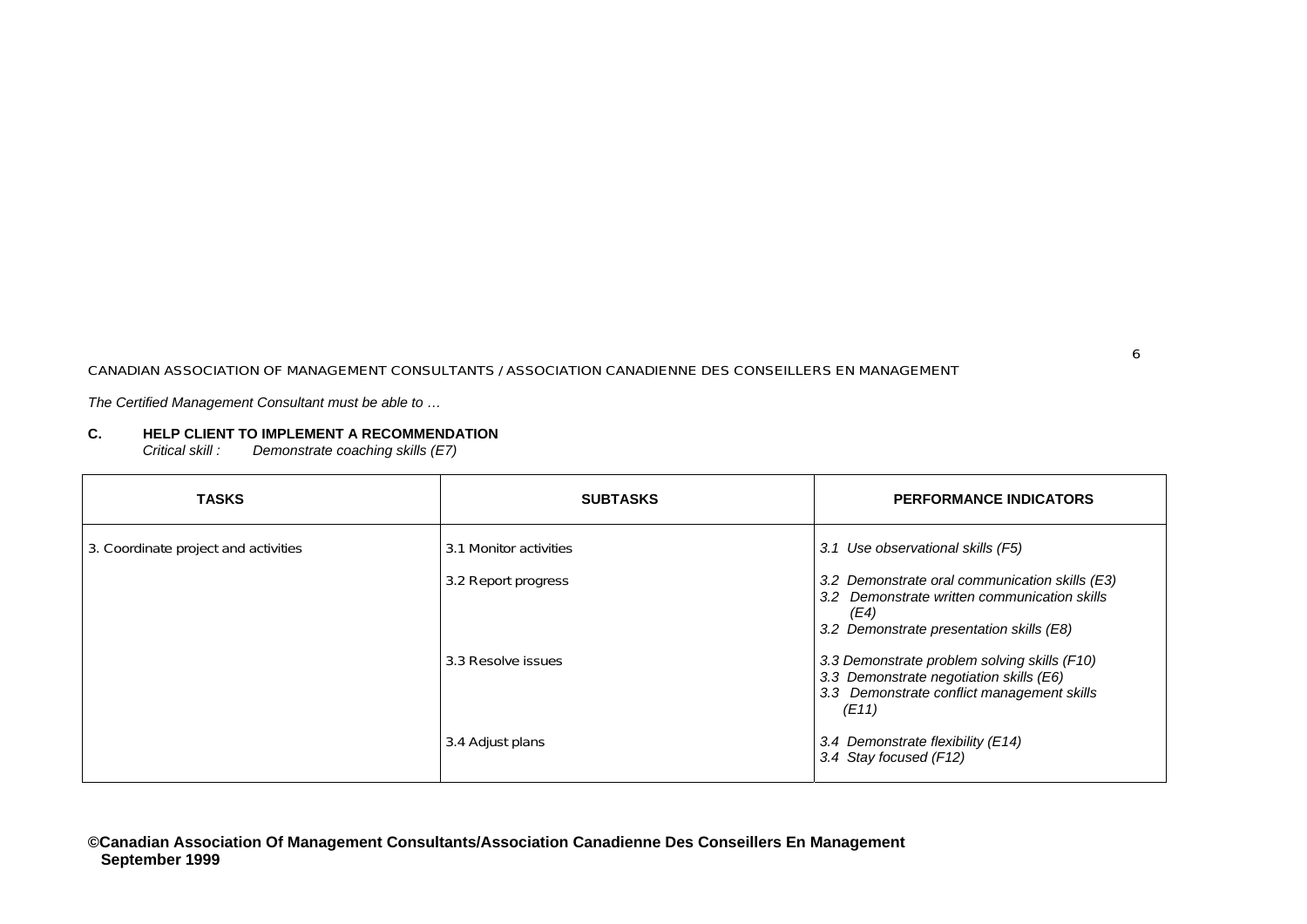*The Certified Management Consultant must be able to …*

### **C. HELP CLIENT TO IMPLEMENT A RECOMMENDATION**

*Critical skill : Demonstrate coaching skills (E7)* 

| <b>TASKS</b>                         | <b>SUBTASKS</b>        | <b>PERFORMANCE INDICATORS</b>                                                                                                                      |
|--------------------------------------|------------------------|----------------------------------------------------------------------------------------------------------------------------------------------------|
| 3. Coordinate project and activities | 3.1 Monitor activities | 3.1 Use observational skills (F5)                                                                                                                  |
|                                      | 3.2 Report progress    | 3.2 Demonstrate oral communication skills (E3)<br>3.2 Demonstrate written communication skills<br>(E4)<br>3.2 Demonstrate presentation skills (E8) |
|                                      | 3.3 Resolve issues     | 3.3 Demonstrate problem solving skills (F10)<br>3.3 Demonstrate negotiation skills (E6)<br>3.3 Demonstrate conflict management skills<br>(E11)     |
|                                      | 3.4 Adjust plans       | 3.4 Demonstrate flexibility (E14)<br>3.4 Stay focused (F12)                                                                                        |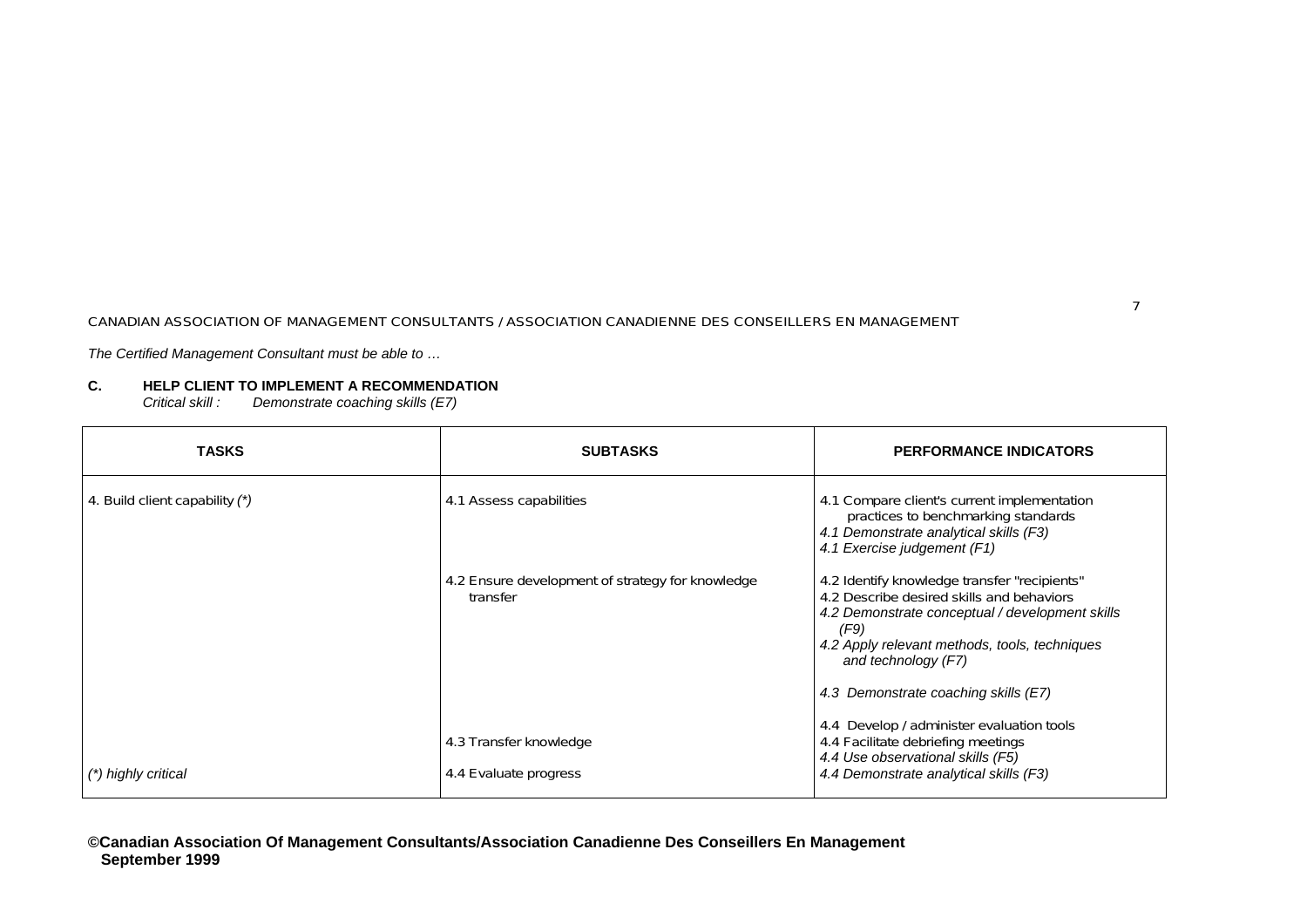*The Certified Management Consultant must be able to …*

### **C. HELP CLIENT TO IMPLEMENT A RECOMMENDATION**

*Critical skill : Demonstrate coaching skills (E7)* 

| <b>TASKS</b>                   | <b>SUBTASKS</b>                                              | <b>PERFORMANCE INDICATORS</b>                                                                                                                                                                                                                                        |
|--------------------------------|--------------------------------------------------------------|----------------------------------------------------------------------------------------------------------------------------------------------------------------------------------------------------------------------------------------------------------------------|
| 4. Build client capability (*) | 4.1 Assess capabilities                                      | 4.1 Compare client's current implementation<br>practices to benchmarking standards<br>4.1 Demonstrate analytical skills (F3)<br>4.1 Exercise judgement (F1)                                                                                                          |
|                                | 4.2 Ensure development of strategy for knowledge<br>transfer | 4.2 Identify knowledge transfer "recipients"<br>4.2 Describe desired skills and behaviors<br>4.2 Demonstrate conceptual / development skills<br>(F9)<br>4.2 Apply relevant methods, tools, techniques<br>and technology (F7)<br>4.3 Demonstrate coaching skills (E7) |
| (*) highly critical            | 4.3 Transfer knowledge<br>4.4 Evaluate progress              | 4.4 Develop / administer evaluation tools<br>4.4 Facilitate debriefing meetings<br>4.4 Use observational skills (F5)<br>4.4 Demonstrate analytical skills (F3)                                                                                                       |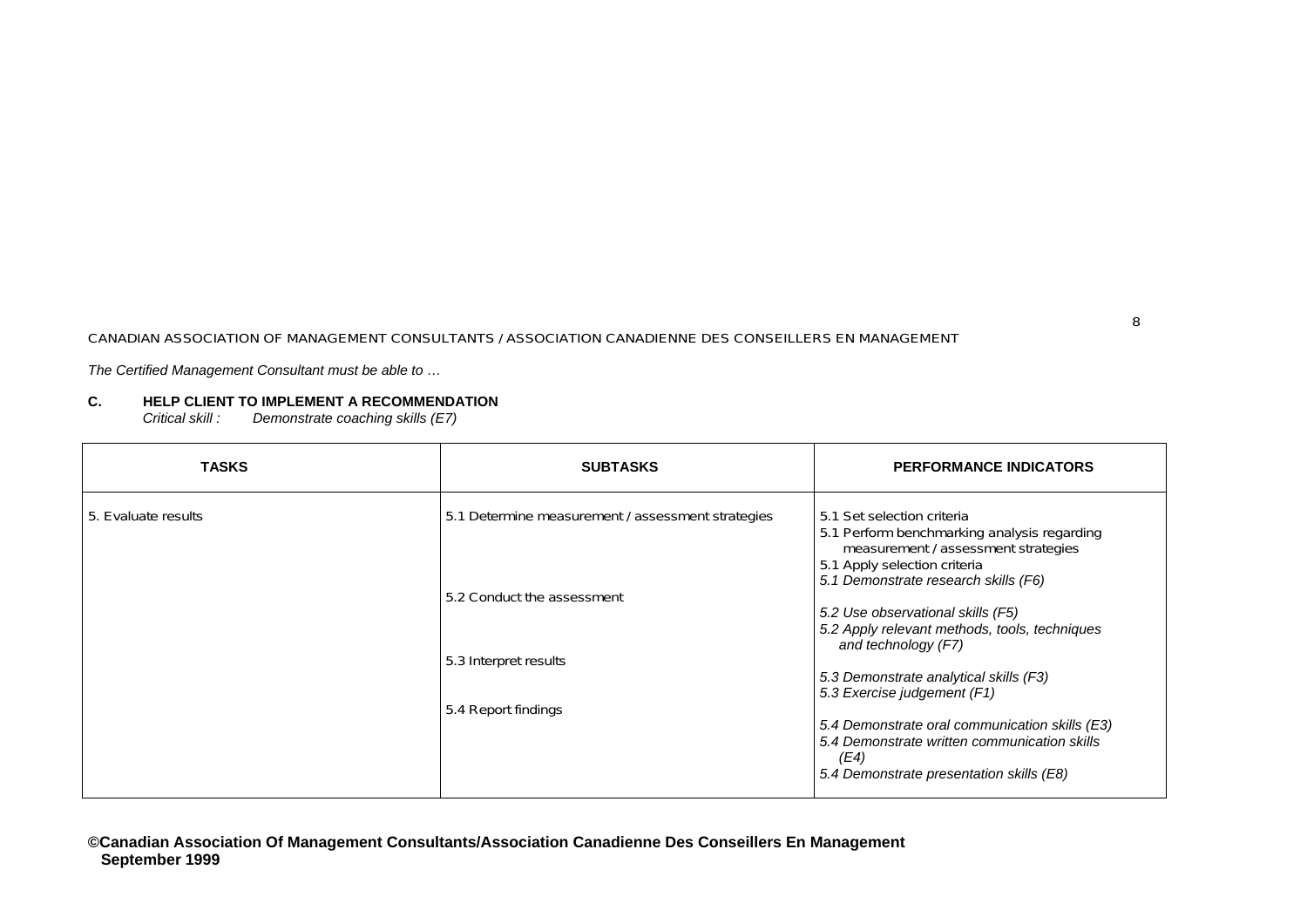*The Certified Management Consultant must be able to …*

## **C. HELP CLIENT TO IMPLEMENT A RECOMMENDATION**

*Critical skill : Demonstrate coaching skills (E7)* 

| TASKS               | <b>SUBTASKS</b>                                                                                                                 | <b>PERFORMANCE INDICATORS</b>                                                                                                                                                                                                                                                                                                                                                                                                                                                                                                        |
|---------------------|---------------------------------------------------------------------------------------------------------------------------------|--------------------------------------------------------------------------------------------------------------------------------------------------------------------------------------------------------------------------------------------------------------------------------------------------------------------------------------------------------------------------------------------------------------------------------------------------------------------------------------------------------------------------------------|
| 5. Evaluate results | 5.1 Determine measurement / assessment strategies<br>5.2 Conduct the assessment<br>5.3 Interpret results<br>5.4 Report findings | 5.1 Set selection criteria<br>5.1 Perform benchmarking analysis regarding<br>measurement / assessment strategies<br>5.1 Apply selection criteria<br>5.1 Demonstrate research skills (F6)<br>5.2 Use observational skills (F5)<br>5.2 Apply relevant methods, tools, techniques<br>and technology (F7)<br>5.3 Demonstrate analytical skills (F3)<br>5.3 Exercise judgement (F1)<br>5.4 Demonstrate oral communication skills (E3)<br>5.4 Demonstrate written communication skills<br>(E4)<br>5.4 Demonstrate presentation skills (E8) |

8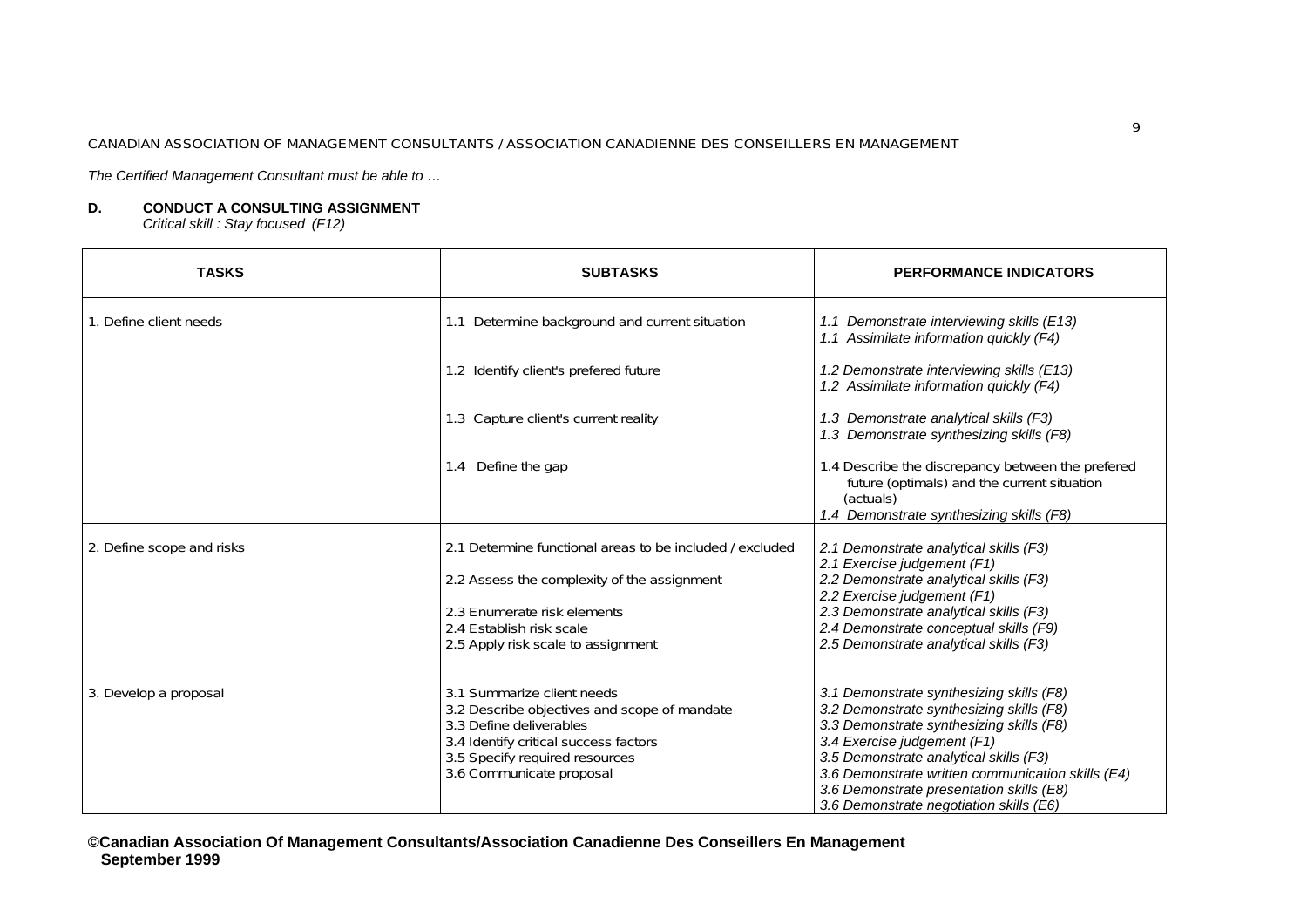*The Certified Management Consultant must be able to …*

### **D. CONDUCT A CONSULTING ASSIGNMENT**

*Critical skill : Stay focused (F12)* 

| <b>TASKS</b>              | <b>SUBTASKS</b>                                                                                                                                                                                              | <b>PERFORMANCE INDICATORS</b>                                                                                                                                                                                                                                                                              |
|---------------------------|--------------------------------------------------------------------------------------------------------------------------------------------------------------------------------------------------------------|------------------------------------------------------------------------------------------------------------------------------------------------------------------------------------------------------------------------------------------------------------------------------------------------------------|
| 1. Define client needs    | 1.1 Determine background and current situation                                                                                                                                                               | 1.1 Demonstrate interviewing skills (E13)<br>1.1 Assimilate information quickly (F4)                                                                                                                                                                                                                       |
|                           | 1.2 Identify client's prefered future                                                                                                                                                                        | 1.2 Demonstrate interviewing skills (E13)<br>1.2 Assimilate information quickly (F4)                                                                                                                                                                                                                       |
|                           | 1.3 Capture client's current reality                                                                                                                                                                         | 1.3 Demonstrate analytical skills (F3)<br>1.3 Demonstrate synthesizing skills (F8)                                                                                                                                                                                                                         |
|                           | 1.4 Define the gap                                                                                                                                                                                           | 1.4 Describe the discrepancy between the prefered<br>future (optimals) and the current situation<br>(actuals)<br>1.4 Demonstrate synthesizing skills (F8)                                                                                                                                                  |
| 2. Define scope and risks | 2.1 Determine functional areas to be included / excluded                                                                                                                                                     | 2.1 Demonstrate analytical skills (F3)<br>2.1 Exercise judgement (F1)                                                                                                                                                                                                                                      |
|                           | 2.2 Assess the complexity of the assignment                                                                                                                                                                  | 2.2 Demonstrate analytical skills (F3)<br>2.2 Exercise judgement (F1)                                                                                                                                                                                                                                      |
|                           | 2.3 Enumerate risk elements                                                                                                                                                                                  | 2.3 Demonstrate analytical skills (F3)                                                                                                                                                                                                                                                                     |
|                           | 2.4 Establish risk scale                                                                                                                                                                                     | 2.4 Demonstrate conceptual skills (F9)                                                                                                                                                                                                                                                                     |
|                           | 2.5 Apply risk scale to assignment                                                                                                                                                                           | 2.5 Demonstrate analytical skills (F3)                                                                                                                                                                                                                                                                     |
| 3. Develop a proposal     | 3.1 Summarize client needs<br>3.2 Describe objectives and scope of mandate<br>3.3 Define deliverables<br>3.4 Identify critical success factors<br>3.5 Specify required resources<br>3.6 Communicate proposal | 3.1 Demonstrate synthesizing skills (F8)<br>3.2 Demonstrate synthesizing skills (F8)<br>3.3 Demonstrate synthesizing skills (F8)<br>3.4 Exercise judgement (F1)<br>3.5 Demonstrate analytical skills (F3)<br>3.6 Demonstrate written communication skills (E4)<br>3.6 Demonstrate presentation skills (E8) |
|                           |                                                                                                                                                                                                              | 3.6 Demonstrate negotiation skills (E6)                                                                                                                                                                                                                                                                    |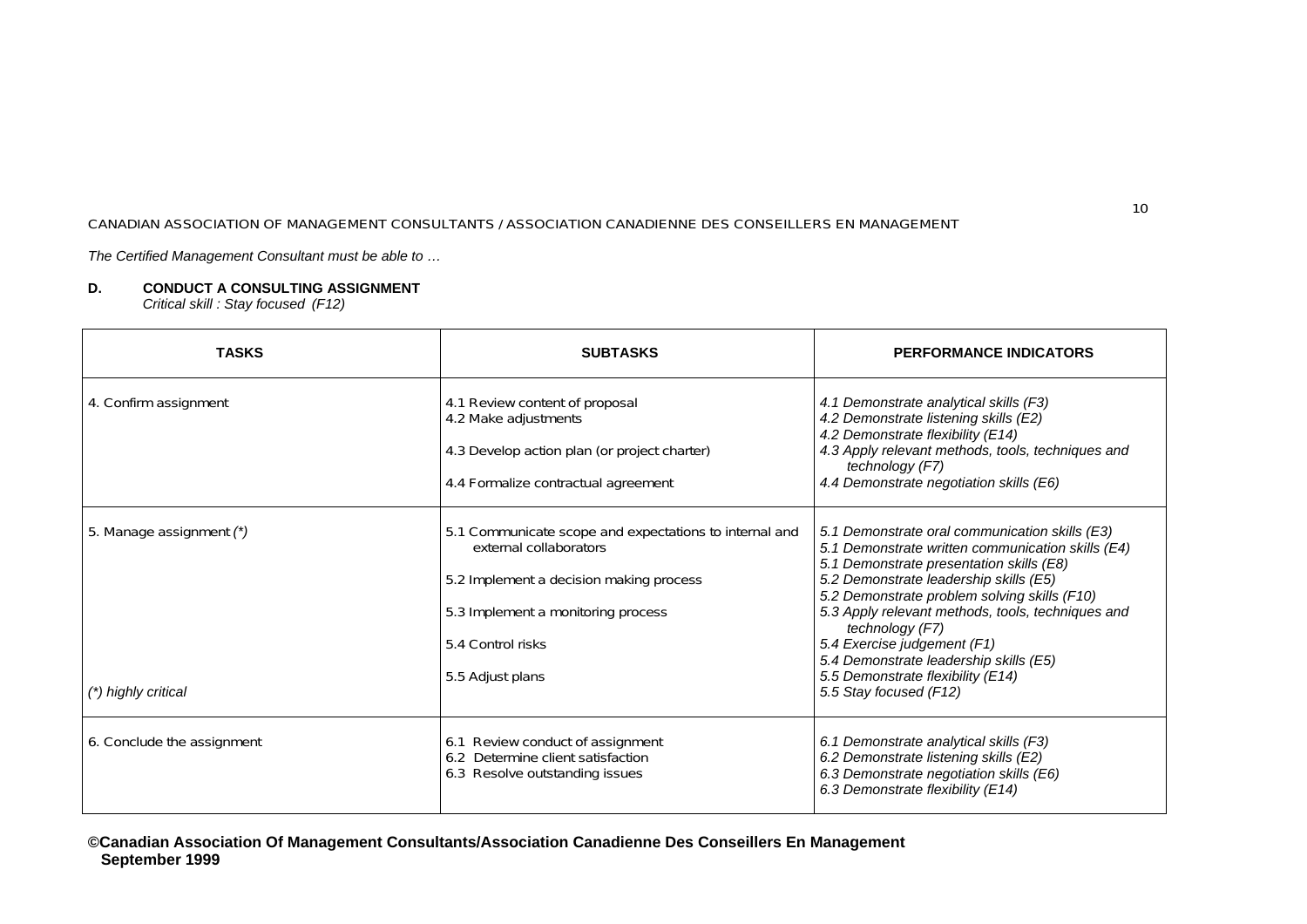*The Certified Management Consultant must be able to …*

# **D. CONDUCT A CONSULTING ASSIGNMENT**

*Critical skill : Stay focused (F12)* 

| <b>TASKS</b>                                    | <b>SUBTASKS</b>                                                                                                                                                                                            | <b>PERFORMANCE INDICATORS</b>                                                                                                                                                                                                                                                                                                                                                                                                                             |
|-------------------------------------------------|------------------------------------------------------------------------------------------------------------------------------------------------------------------------------------------------------------|-----------------------------------------------------------------------------------------------------------------------------------------------------------------------------------------------------------------------------------------------------------------------------------------------------------------------------------------------------------------------------------------------------------------------------------------------------------|
| 4. Confirm assignment                           | 4.1 Review content of proposal<br>4.2 Make adjustments<br>4.3 Develop action plan (or project charter)<br>4.4 Formalize contractual agreement                                                              | 4.1 Demonstrate analytical skills (F3)<br>4.2 Demonstrate listening skills (E2)<br>4.2 Demonstrate flexibility (E14)<br>4.3 Apply relevant methods, tools, techniques and<br>technology (F7)<br>4.4 Demonstrate negotiation skills (E6)                                                                                                                                                                                                                   |
| 5. Manage assignment (*)<br>(*) highly critical | 5.1 Communicate scope and expectations to internal and<br>external collaborators<br>5.2 Implement a decision making process<br>5.3 Implement a monitoring process<br>5.4 Control risks<br>5.5 Adjust plans | 5.1 Demonstrate oral communication skills (E3)<br>5.1 Demonstrate written communication skills (E4)<br>5.1 Demonstrate presentation skills (E8)<br>5.2 Demonstrate leadership skills (E5)<br>5.2 Demonstrate problem solving skills (F10)<br>5.3 Apply relevant methods, tools, techniques and<br>technology (F7)<br>5.4 Exercise judgement (F1)<br>5.4 Demonstrate leadership skills (E5)<br>5.5 Demonstrate flexibility (E14)<br>5.5 Stay focused (F12) |
| 6. Conclude the assignment                      | 6.1 Review conduct of assignment<br>6.2 Determine client satisfaction<br>6.3 Resolve outstanding issues                                                                                                    | 6.1 Demonstrate analytical skills (F3)<br>6.2 Demonstrate listening skills (E2)<br>6.3 Demonstrate negotiation skills (E6)<br>6.3 Demonstrate flexibility (E14)                                                                                                                                                                                                                                                                                           |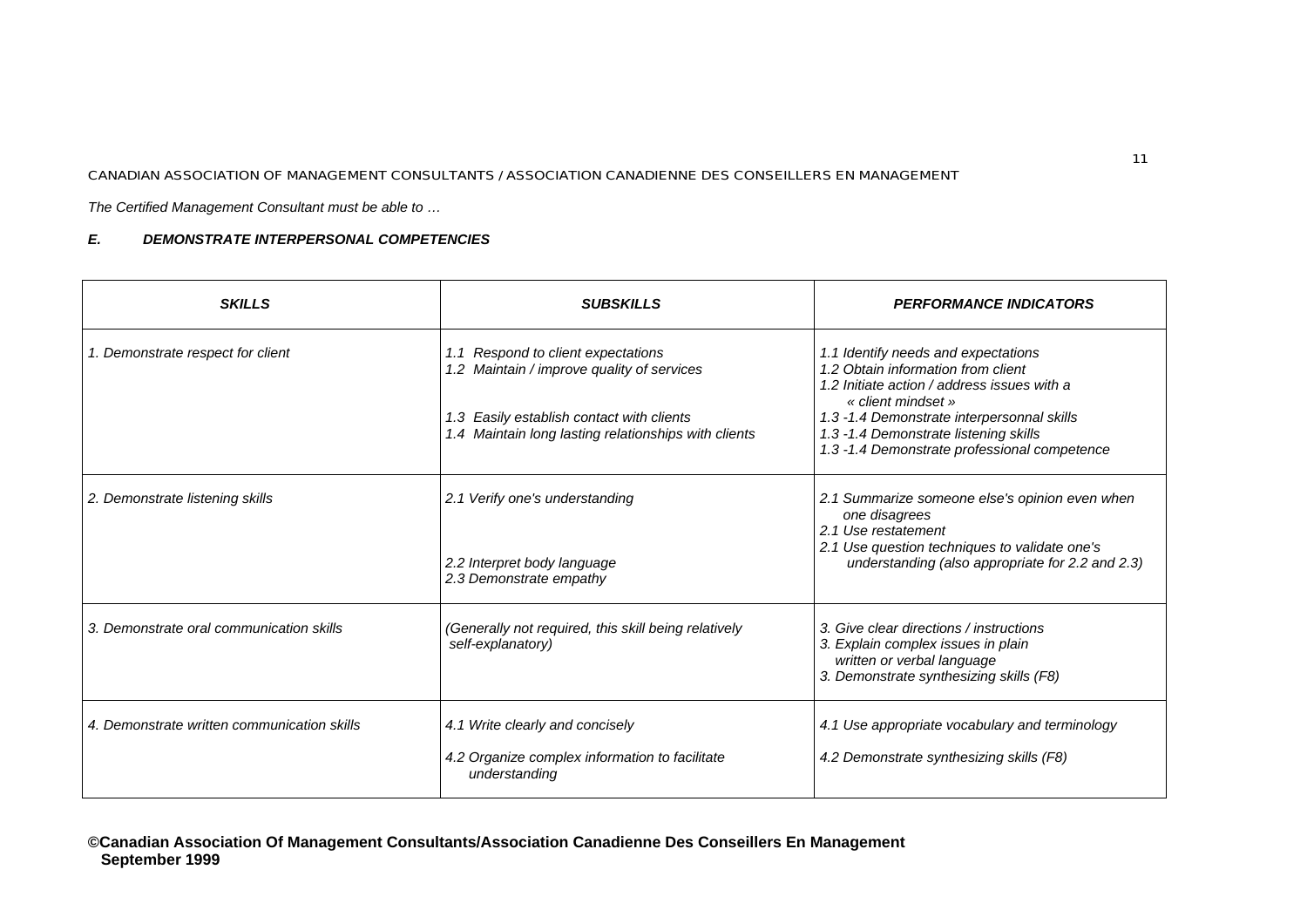*The Certified Management Consultant must be able to …*

| <b>SKILLS</b>                               | <b>SUBSKILLS</b>                                                                                  | <b>PERFORMANCE INDICATORS</b>                                                                                                                          |
|---------------------------------------------|---------------------------------------------------------------------------------------------------|--------------------------------------------------------------------------------------------------------------------------------------------------------|
| 1. Demonstrate respect for client           | 1.1 Respond to client expectations<br>1.2 Maintain / improve quality of services                  | 1.1 Identify needs and expectations<br>1.2 Obtain information from client<br>1.2 Initiate action / address issues with a<br>« client mindset »         |
|                                             | 1.3 Easily establish contact with clients<br>1.4 Maintain long lasting relationships with clients | 1.3 -1.4 Demonstrate interpersonnal skills<br>1.3 -1.4 Demonstrate listening skills<br>1.3 -1.4 Demonstrate professional competence                    |
| 2. Demonstrate listening skills             | 2.1 Verify one's understanding                                                                    | 2.1 Summarize someone else's opinion even when<br>one disagrees<br>2.1 Use restatement                                                                 |
|                                             | 2.2 Interpret body language<br>2.3 Demonstrate empathy                                            | 2.1 Use question techniques to validate one's<br>understanding (also appropriate for 2.2 and 2.3)                                                      |
| 3. Demonstrate oral communication skills    | (Generally not required, this skill being relatively<br>self-explanatory)                         | 3. Give clear directions / instructions<br>3. Explain complex issues in plain<br>written or verbal language<br>3. Demonstrate synthesizing skills (F8) |
| 4. Demonstrate written communication skills | 4.1 Write clearly and concisely<br>4.2 Organize complex information to facilitate                 | 4.1 Use appropriate vocabulary and terminology<br>4.2 Demonstrate synthesizing skills (F8)                                                             |
|                                             | understanding                                                                                     |                                                                                                                                                        |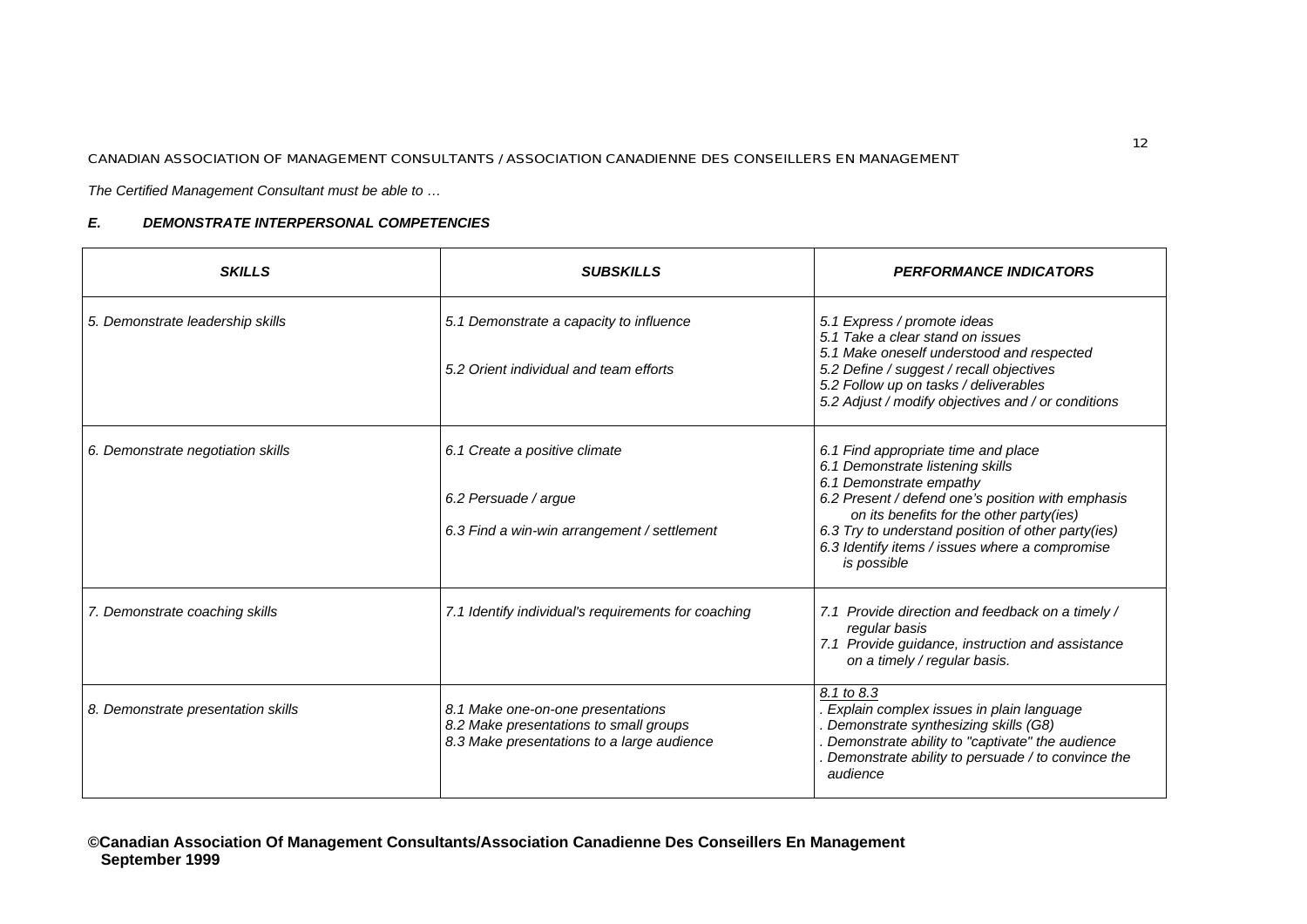*The Certified Management Consultant must be able to …*

| <b>SKILLS</b>                      | <b>SUBSKILLS</b>                                                                                                          | <b>PERFORMANCE INDICATORS</b>                                                                                                                                                                                                                                                                                              |
|------------------------------------|---------------------------------------------------------------------------------------------------------------------------|----------------------------------------------------------------------------------------------------------------------------------------------------------------------------------------------------------------------------------------------------------------------------------------------------------------------------|
| 5. Demonstrate leadership skills   | 5.1 Demonstrate a capacity to influence<br>5.2 Orient individual and team efforts                                         | 5.1 Express / promote ideas<br>5.1 Take a clear stand on issues<br>5.1 Make oneself understood and respected<br>5.2 Define / suggest / recall objectives<br>5.2 Follow up on tasks / deliverables<br>5.2 Adjust / modify objectives and / or conditions                                                                    |
| 6. Demonstrate negotiation skills  | 6.1 Create a positive climate<br>6.2 Persuade / argue<br>6.3 Find a win-win arrangement / settlement                      | 6.1 Find appropriate time and place<br>6.1 Demonstrate listening skills<br>6.1 Demonstrate empathy<br>6.2 Present / defend one's position with emphasis<br>on its benefits for the other party(ies)<br>6.3 Try to understand position of other party(ies)<br>6.3 Identify items / issues where a compromise<br>is possible |
| 7. Demonstrate coaching skills     | 7.1 Identify individual's requirements for coaching                                                                       | 7.1 Provide direction and feedback on a timely /<br>regular basis<br>7.1 Provide guidance, instruction and assistance<br>on a timely / regular basis.                                                                                                                                                                      |
| 8. Demonstrate presentation skills | 8.1 Make one-on-one presentations<br>8.2 Make presentations to small groups<br>8.3 Make presentations to a large audience | 8.1 to 8.3<br>Explain complex issues in plain language<br>Demonstrate synthesizing skills (G8)<br>Demonstrate ability to "captivate" the audience<br>Demonstrate ability to persuade / to convince the<br>audience                                                                                                         |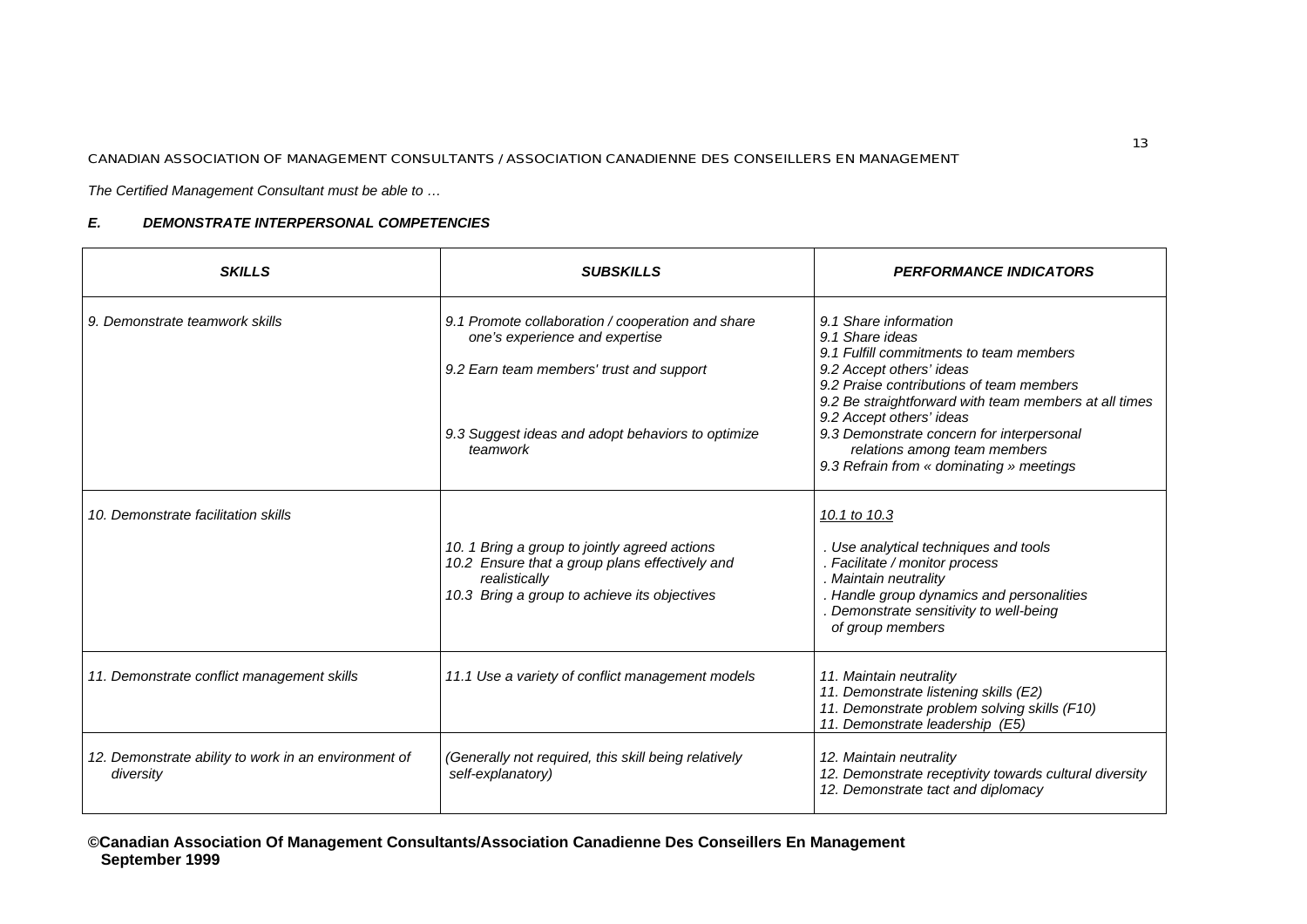*The Certified Management Consultant must be able to …*

| <b>SKILLS</b>                                                     | <b>SUBSKILLS</b>                                                                                                                                                 | <b>PERFORMANCE INDICATORS</b>                                                                                                                                                                                                                    |
|-------------------------------------------------------------------|------------------------------------------------------------------------------------------------------------------------------------------------------------------|--------------------------------------------------------------------------------------------------------------------------------------------------------------------------------------------------------------------------------------------------|
| 9. Demonstrate teamwork skills                                    | 9.1 Promote collaboration / cooperation and share<br>one's experience and expertise<br>9.2 Earn team members' trust and support                                  | 9.1 Share information<br>9.1 Share ideas<br>9.1 Fulfill commitments to team members<br>9.2 Accept others' ideas<br>9.2 Praise contributions of team members<br>9.2 Be straightforward with team members at all times<br>9.2 Accept others' ideas |
|                                                                   | 9.3 Suggest ideas and adopt behaviors to optimize<br>teamwork                                                                                                    | 9.3 Demonstrate concern for interpersonal<br>relations among team members<br>9.3 Refrain from « dominating » meetings                                                                                                                            |
| 10. Demonstrate facilitation skills                               | 10. 1 Bring a group to jointly agreed actions<br>10.2 Ensure that a group plans effectively and<br>realistically<br>10.3 Bring a group to achieve its objectives | 10.1 to 10.3<br>. Use analytical techniques and tools<br>. Facilitate / monitor process<br>. Maintain neutrality<br>. Handle group dynamics and personalities<br>Demonstrate sensitivity to well-being<br>of group members                       |
| 11. Demonstrate conflict management skills                        | 11.1 Use a variety of conflict management models                                                                                                                 | 11. Maintain neutrality<br>11. Demonstrate listening skills (E2)<br>11. Demonstrate problem solving skills (F10)<br>11. Demonstrate leadership (E5)                                                                                              |
| 12. Demonstrate ability to work in an environment of<br>diversity | (Generally not required, this skill being relatively<br>self-explanatory)                                                                                        | 12. Maintain neutrality<br>12. Demonstrate receptivity towards cultural diversity<br>12. Demonstrate tact and diplomacy                                                                                                                          |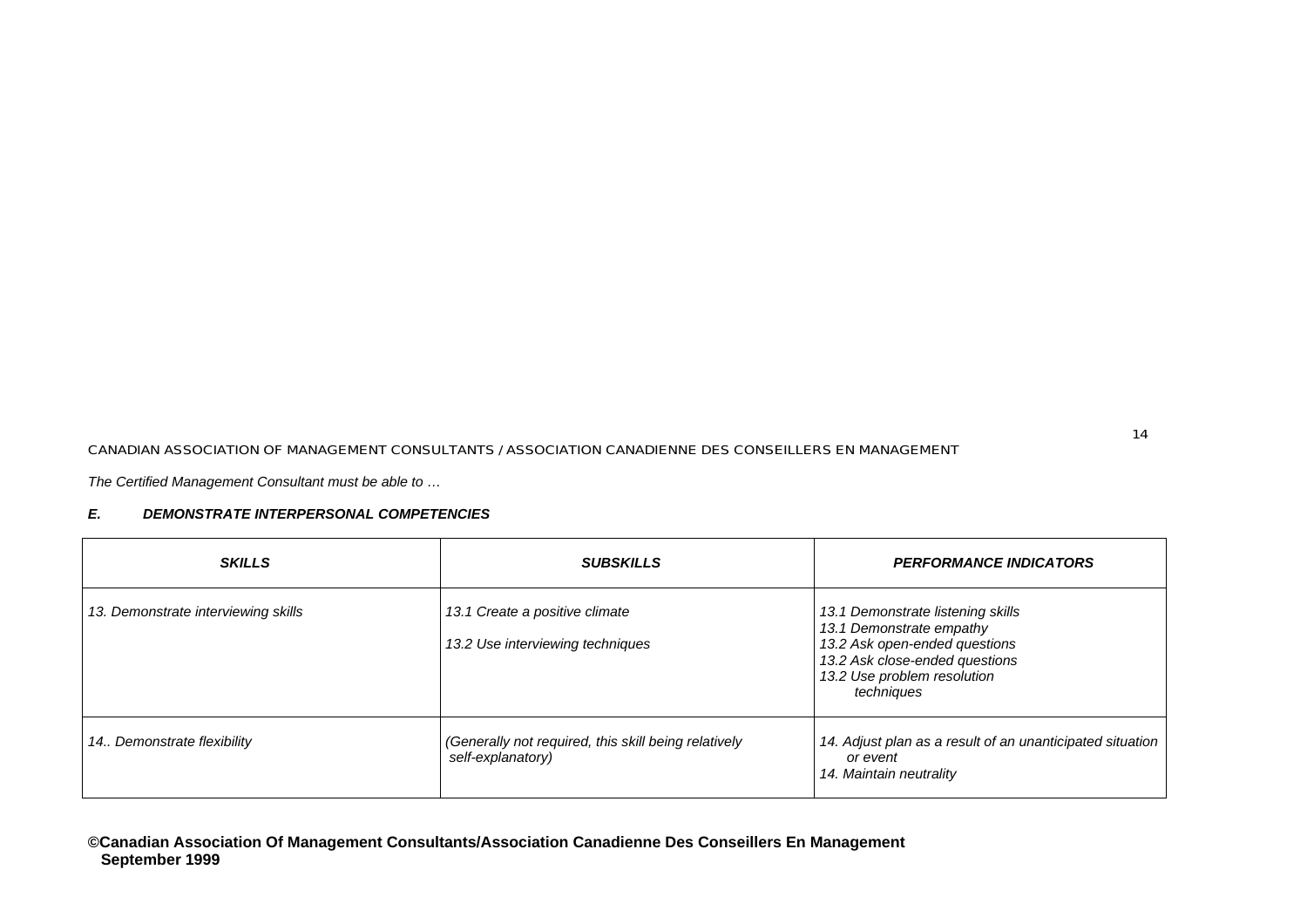*The Certified Management Consultant must be able to …*

| <b>SKILLS</b>                       | <b>SUBSKILLS</b>                                                          | <b>PERFORMANCE INDICATORS</b>                                                                                                                                                 |
|-------------------------------------|---------------------------------------------------------------------------|-------------------------------------------------------------------------------------------------------------------------------------------------------------------------------|
| 13. Demonstrate interviewing skills | 13.1 Create a positive climate<br>13.2 Use interviewing techniques        | 13.1 Demonstrate listening skills<br>13.1 Demonstrate empathy<br>13.2 Ask open-ended questions<br>13.2 Ask close-ended questions<br>13.2 Use problem resolution<br>techniques |
| 14. Demonstrate flexibility         | (Generally not required, this skill being relatively<br>self-explanatory) | 14. Adjust plan as a result of an unanticipated situation<br>or event<br>14. Maintain neutrality                                                                              |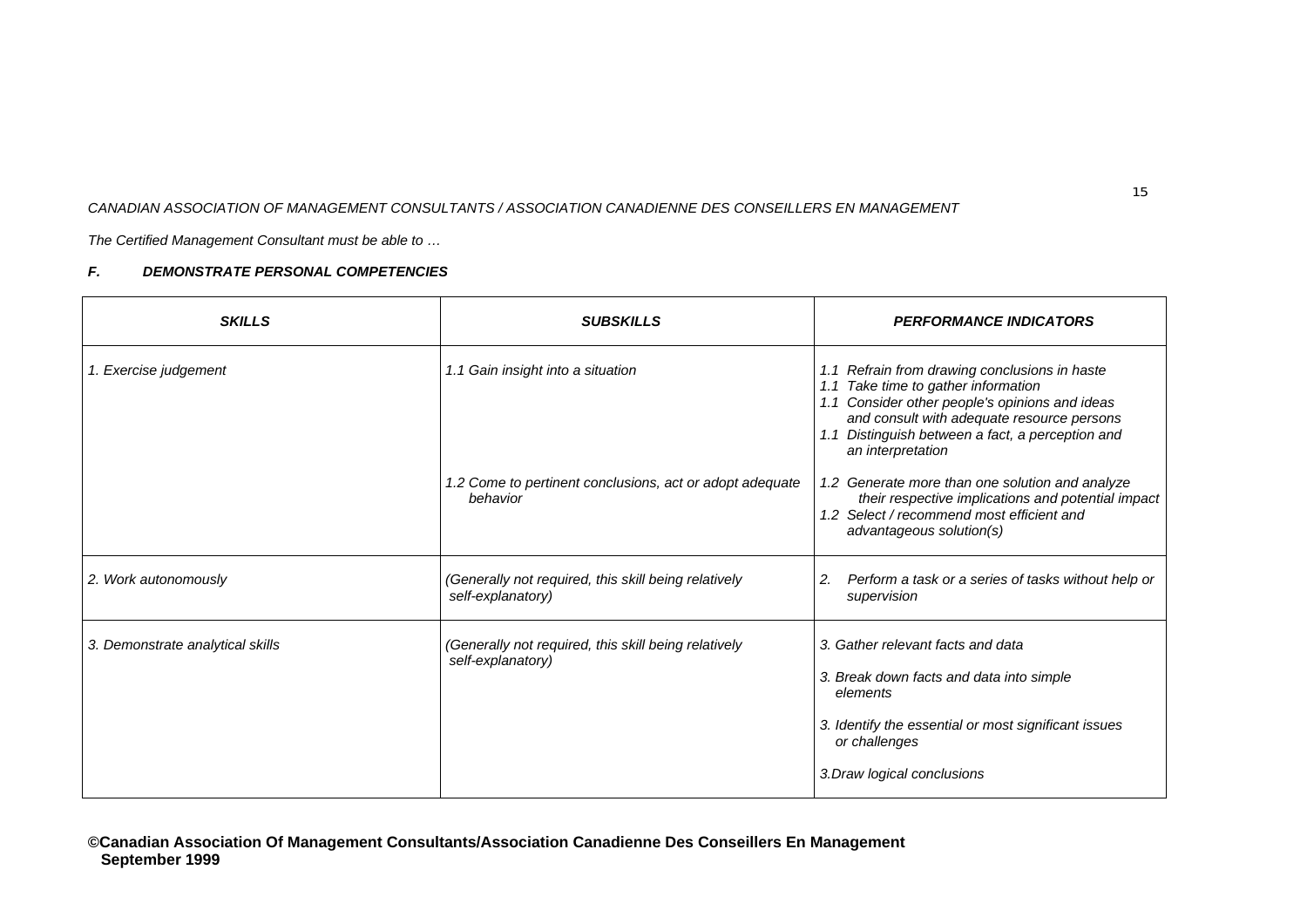*The Certified Management Consultant must be able to …*

# *F. DEMONSTRATE PERSONAL COMPETENCIES*

| <b>SKILLS</b>                    | <b>SUBSKILLS</b>                                                          | <b>PERFORMANCE INDICATORS</b>                                                                                                                                                                                                                                       |
|----------------------------------|---------------------------------------------------------------------------|---------------------------------------------------------------------------------------------------------------------------------------------------------------------------------------------------------------------------------------------------------------------|
| 1. Exercise judgement            | 1.1 Gain insight into a situation                                         | 1.1 Refrain from drawing conclusions in haste<br>Take time to gather information<br>1.1<br>1.1 Consider other people's opinions and ideas<br>and consult with adequate resource persons<br>Distinguish between a fact, a perception and<br>1.1<br>an interpretation |
|                                  | 1.2 Come to pertinent conclusions, act or adopt adequate<br>behavior      | 1.2 Generate more than one solution and analyze<br>their respective implications and potential impact<br>1.2 Select / recommend most efficient and<br>advantageous solution(s)                                                                                      |
| 2. Work autonomously             | (Generally not required, this skill being relatively<br>self-explanatory) | Perform a task or a series of tasks without help or<br>2.<br>supervision                                                                                                                                                                                            |
| 3. Demonstrate analytical skills | (Generally not required, this skill being relatively<br>self-explanatory) | 3. Gather relevant facts and data<br>3. Break down facts and data into simple<br>elements<br>3. Identify the essential or most significant issues<br>or challenges<br>3. Draw logical conclusions                                                                   |

**©Canadian Association Of Management Consultants/Association Canadienne Des Conseillers En Management September 1999**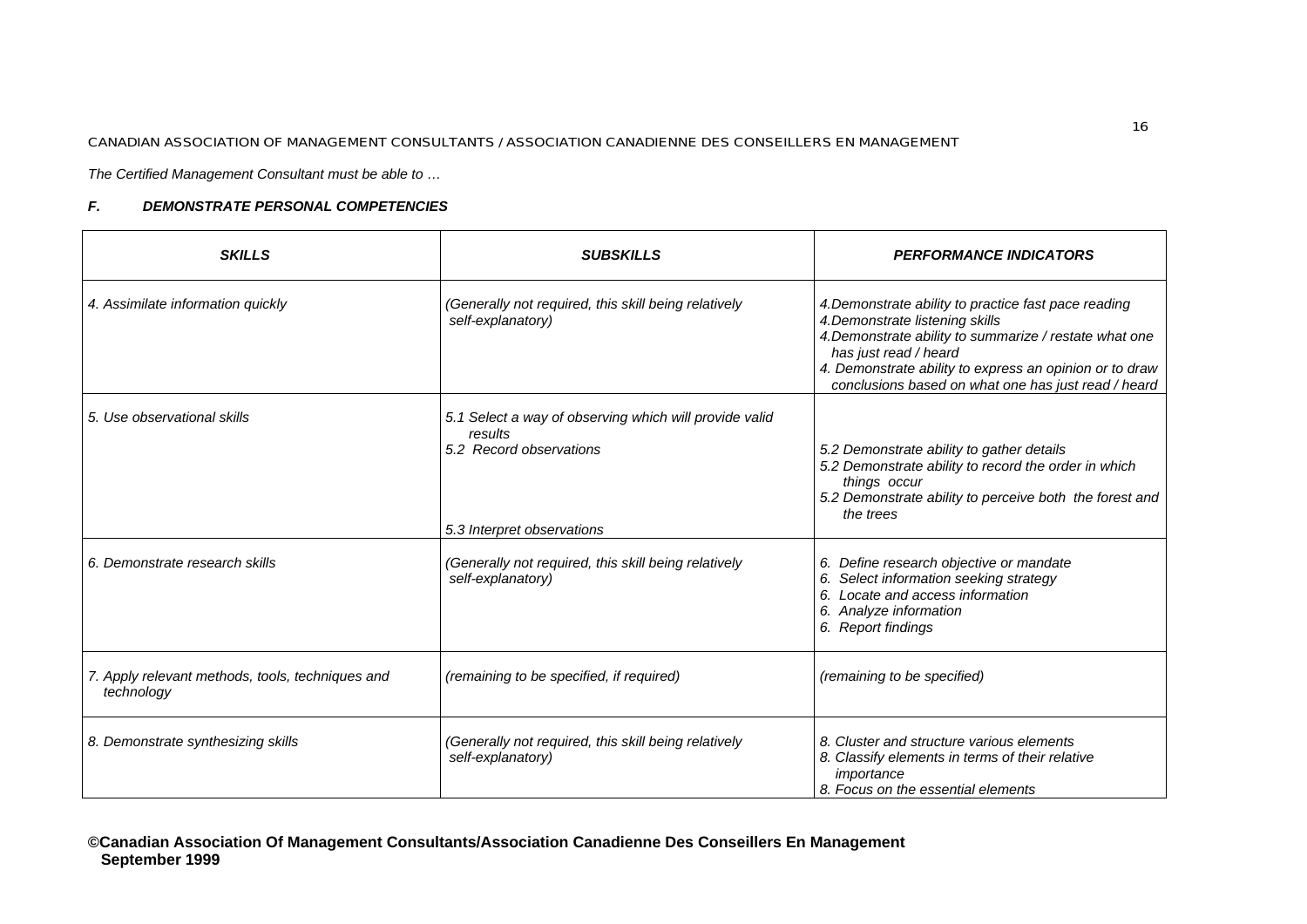*The Certified Management Consultant must be able to …*

| <b>SKILLS</b>                                                  | <b>SUBSKILLS</b>                                                                                                           | <b>PERFORMANCE INDICATORS</b>                                                                                                                                                                                                                                                                |
|----------------------------------------------------------------|----------------------------------------------------------------------------------------------------------------------------|----------------------------------------------------------------------------------------------------------------------------------------------------------------------------------------------------------------------------------------------------------------------------------------------|
| 4. Assimilate information quickly                              | (Generally not required, this skill being relatively<br>self-explanatory)                                                  | 4. Demonstrate ability to practice fast pace reading<br>4. Demonstrate listening skills<br>4. Demonstrate ability to summarize / restate what one<br>has just read / heard<br>4. Demonstrate ability to express an opinion or to draw<br>conclusions based on what one has just read / heard |
| 5. Use observational skills                                    | 5.1 Select a way of observing which will provide valid<br>results<br>5.2 Record observations<br>5.3 Interpret observations | 5.2 Demonstrate ability to gather details<br>5.2 Demonstrate ability to record the order in which<br>things occur<br>5.2 Demonstrate ability to perceive both the forest and<br>the trees                                                                                                    |
| 6. Demonstrate research skills                                 | (Generally not required, this skill being relatively<br>self-explanatory)                                                  | 6. Define research objective or mandate<br>6. Select information seeking strategy<br>6. Locate and access information<br>6. Analyze information<br>6. Report findings                                                                                                                        |
| 7. Apply relevant methods, tools, techniques and<br>technology | (remaining to be specified, if required)                                                                                   | (remaining to be specified)                                                                                                                                                                                                                                                                  |
| 8. Demonstrate synthesizing skills                             | (Generally not required, this skill being relatively<br>self-explanatory)                                                  | 8. Cluster and structure various elements<br>8. Classify elements in terms of their relative<br>importance<br>8. Focus on the essential elements                                                                                                                                             |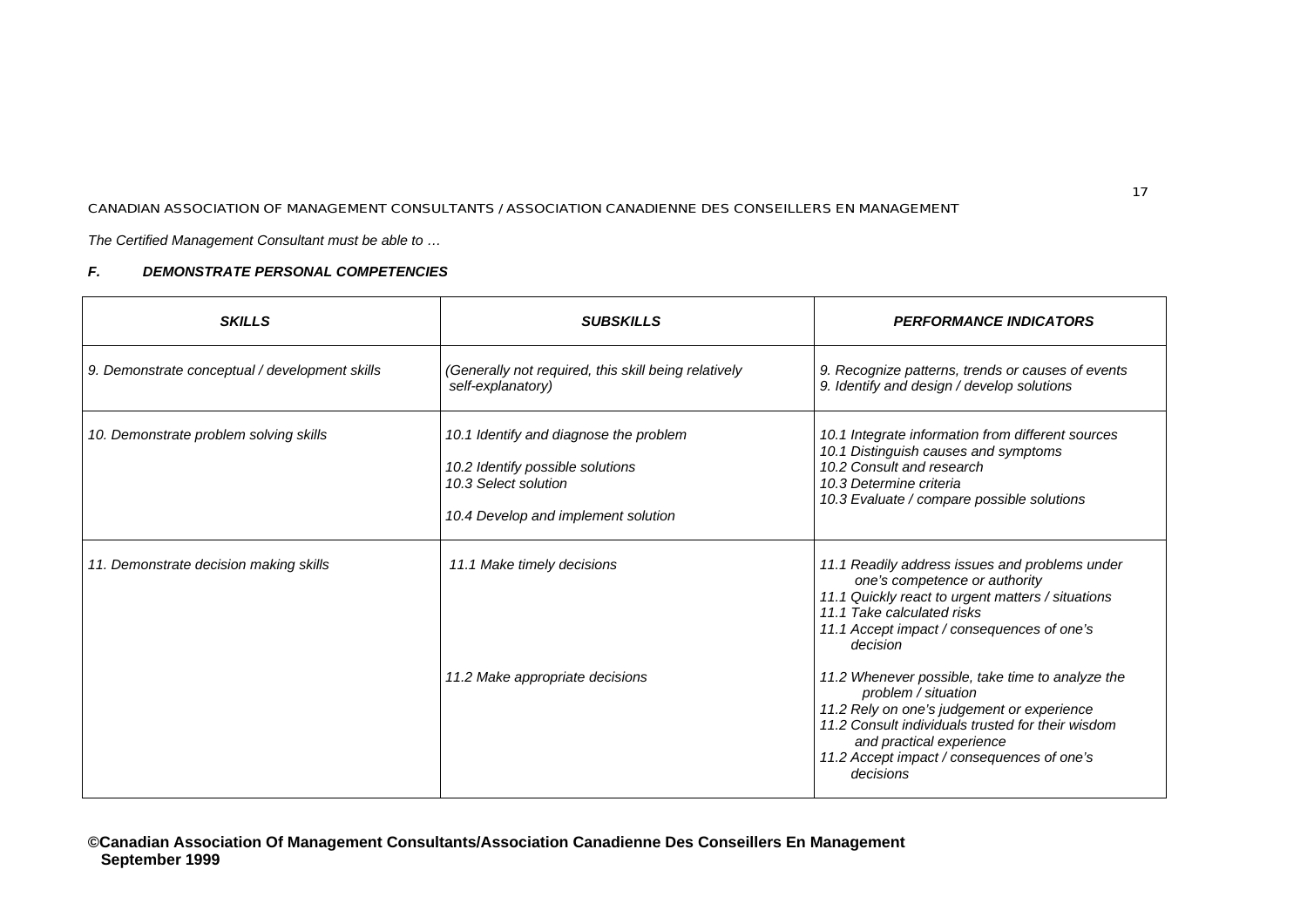*The Certified Management Consultant must be able to …*

| <b>SKILLS</b>                                  | <b>SUBSKILLS</b>                                                                                                                          | <b>PERFORMANCE INDICATORS</b>                                                                                                                                                                                                                                     |
|------------------------------------------------|-------------------------------------------------------------------------------------------------------------------------------------------|-------------------------------------------------------------------------------------------------------------------------------------------------------------------------------------------------------------------------------------------------------------------|
| 9. Demonstrate conceptual / development skills | (Generally not required, this skill being relatively<br>self-explanatory)                                                                 | 9. Recognize patterns, trends or causes of events<br>9. Identify and design / develop solutions                                                                                                                                                                   |
| 10. Demonstrate problem solving skills         | 10.1 Identify and diagnose the problem<br>10.2 Identify possible solutions<br>10.3 Select solution<br>10.4 Develop and implement solution | 10.1 Integrate information from different sources<br>10.1 Distinguish causes and symptoms<br>10.2 Consult and research<br>10.3 Determine criteria<br>10.3 Evaluate / compare possible solutions                                                                   |
| 11. Demonstrate decision making skills         | 11.1 Make timely decisions                                                                                                                | 11.1 Readily address issues and problems under<br>one's competence or authority<br>11.1 Quickly react to urgent matters / situations<br>11.1 Take calculated risks<br>11.1 Accept impact / consequences of one's<br>decision                                      |
|                                                | 11.2 Make appropriate decisions                                                                                                           | 11.2 Whenever possible, take time to analyze the<br>problem / situation<br>11.2 Rely on one's judgement or experience<br>11.2 Consult individuals trusted for their wisdom<br>and practical experience<br>11.2 Accept impact / consequences of one's<br>decisions |